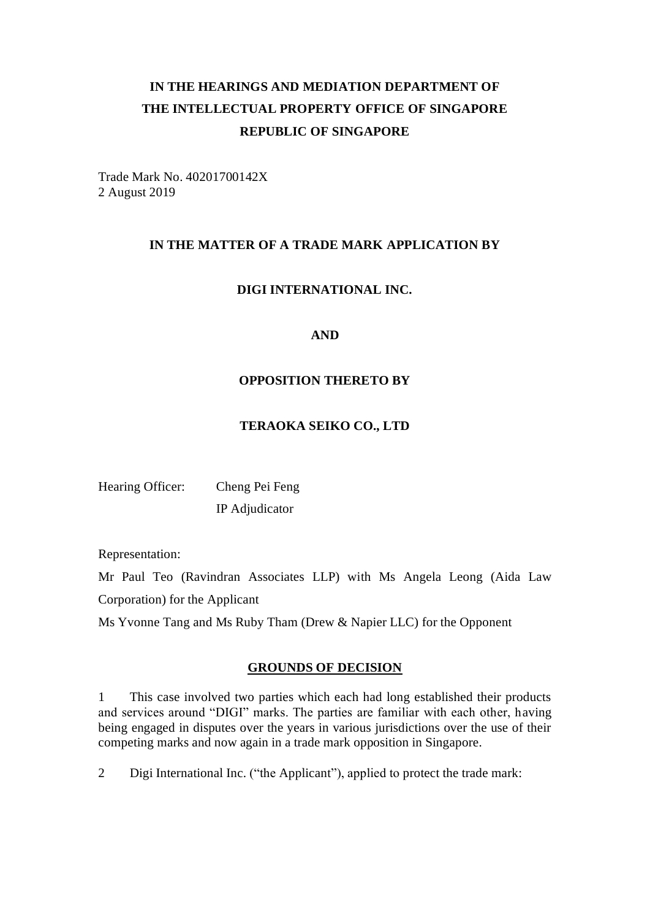# **IN THE HEARINGS AND MEDIATION DEPARTMENT OF THE INTELLECTUAL PROPERTY OFFICE OF SINGAPORE REPUBLIC OF SINGAPORE**

Trade Mark No. 40201700142X 2 August 2019

### **IN THE MATTER OF A TRADE MARK APPLICATION BY**

## **DIGI INTERNATIONAL INC.**

### **AND**

## **OPPOSITION THERETO BY**

### **TERAOKA SEIKO CO., LTD**

| Hearing Officer: | Cheng Pei Feng |
|------------------|----------------|
|                  | IP Adjudicator |

Representation:

Mr Paul Teo (Ravindran Associates LLP) with Ms Angela Leong (Aida Law Corporation) for the Applicant

Ms Yvonne Tang and Ms Ruby Tham (Drew & Napier LLC) for the Opponent

### **GROUNDS OF DECISION**

1 This case involved two parties which each had long established their products and services around "DIGI" marks. The parties are familiar with each other, having being engaged in disputes over the years in various jurisdictions over the use of their competing marks and now again in a trade mark opposition in Singapore.

2 Digi International Inc. ("the Applicant"), applied to protect the trade mark: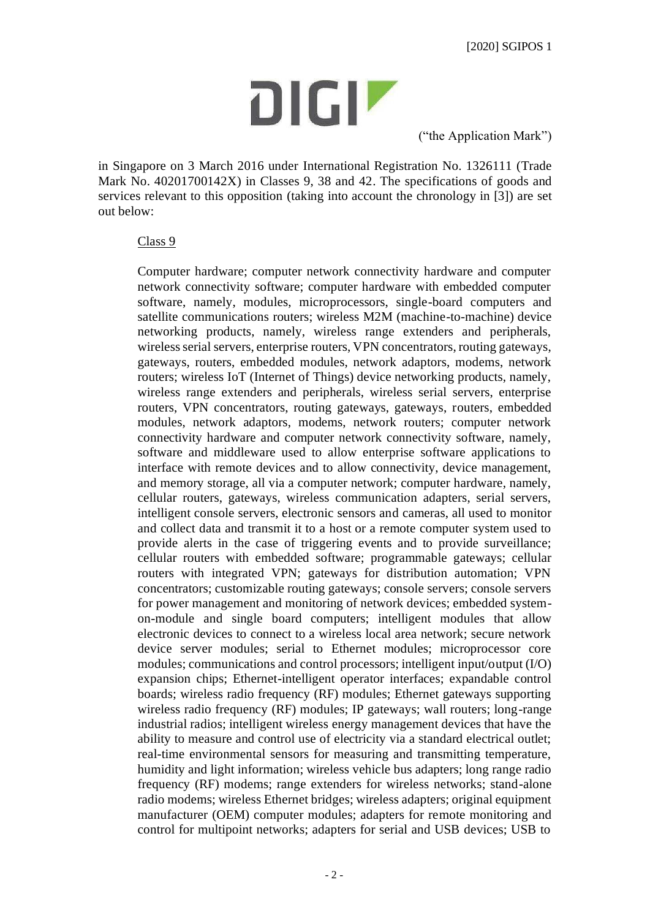

("the Application Mark")

in Singapore on 3 March 2016 under International Registration No. 1326111 (Trade Mark No. 40201700142X) in Classes 9, 38 and 42. The specifications of goods and services relevant to this opposition (taking into account the chronology in [3]) are set out below:

### Class 9

Computer hardware; computer network connectivity hardware and computer network connectivity software; computer hardware with embedded computer software, namely, modules, microprocessors, single-board computers and satellite communications routers; wireless M2M (machine-to-machine) device networking products, namely, wireless range extenders and peripherals, wireless serial servers, enterprise routers, VPN concentrators, routing gateways, gateways, routers, embedded modules, network adaptors, modems, network routers; wireless IoT (Internet of Things) device networking products, namely, wireless range extenders and peripherals, wireless serial servers, enterprise routers, VPN concentrators, routing gateways, gateways, routers, embedded modules, network adaptors, modems, network routers; computer network connectivity hardware and computer network connectivity software, namely, software and middleware used to allow enterprise software applications to interface with remote devices and to allow connectivity, device management, and memory storage, all via a computer network; computer hardware, namely, cellular routers, gateways, wireless communication adapters, serial servers, intelligent console servers, electronic sensors and cameras, all used to monitor and collect data and transmit it to a host or a remote computer system used to provide alerts in the case of triggering events and to provide surveillance; cellular routers with embedded software; programmable gateways; cellular routers with integrated VPN; gateways for distribution automation; VPN concentrators; customizable routing gateways; console servers; console servers for power management and monitoring of network devices; embedded systemon-module and single board computers; intelligent modules that allow electronic devices to connect to a wireless local area network; secure network device server modules; serial to Ethernet modules; microprocessor core modules; communications and control processors; intelligent input/output (I/O) expansion chips; Ethernet-intelligent operator interfaces; expandable control boards; wireless radio frequency (RF) modules; Ethernet gateways supporting wireless radio frequency (RF) modules; IP gateways; wall routers; long-range industrial radios; intelligent wireless energy management devices that have the ability to measure and control use of electricity via a standard electrical outlet; real-time environmental sensors for measuring and transmitting temperature, humidity and light information; wireless vehicle bus adapters; long range radio frequency (RF) modems; range extenders for wireless networks; stand-alone radio modems; wireless Ethernet bridges; wireless adapters; original equipment manufacturer (OEM) computer modules; adapters for remote monitoring and control for multipoint networks; adapters for serial and USB devices; USB to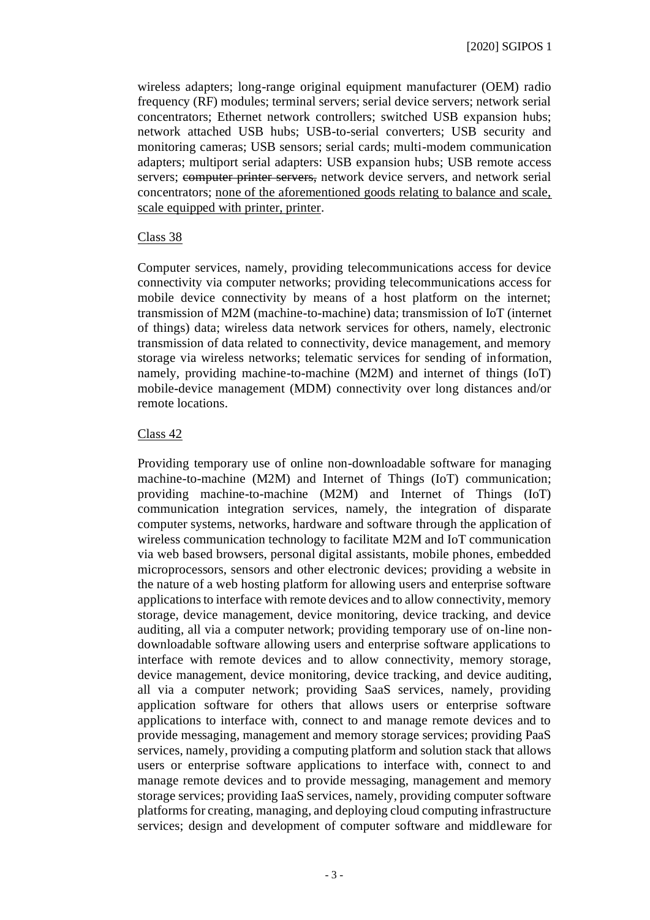wireless adapters; long-range original equipment manufacturer (OEM) radio frequency (RF) modules; terminal servers; serial device servers; network serial concentrators; Ethernet network controllers; switched USB expansion hubs; network attached USB hubs; USB-to-serial converters; USB security and monitoring cameras; USB sensors; serial cards; multi-modem communication adapters; multiport serial adapters: USB expansion hubs; USB remote access servers; computer printer servers, network device servers, and network serial concentrators; none of the aforementioned goods relating to balance and scale, scale equipped with printer, printer.

### Class 38

Computer services, namely, providing telecommunications access for device connectivity via computer networks; providing telecommunications access for mobile device connectivity by means of a host platform on the internet; transmission of M2M (machine-to-machine) data; transmission of IoT (internet of things) data; wireless data network services for others, namely, electronic transmission of data related to connectivity, device management, and memory storage via wireless networks; telematic services for sending of information, namely, providing machine-to-machine (M2M) and internet of things (IoT) mobile-device management (MDM) connectivity over long distances and/or remote locations.

### Class 42

Providing temporary use of online non-downloadable software for managing machine-to-machine (M2M) and Internet of Things (IoT) communication; providing machine-to-machine (M2M) and Internet of Things (IoT) communication integration services, namely, the integration of disparate computer systems, networks, hardware and software through the application of wireless communication technology to facilitate M2M and IoT communication via web based browsers, personal digital assistants, mobile phones, embedded microprocessors, sensors and other electronic devices; providing a website in the nature of a web hosting platform for allowing users and enterprise software applications to interface with remote devices and to allow connectivity, memory storage, device management, device monitoring, device tracking, and device auditing, all via a computer network; providing temporary use of on-line nondownloadable software allowing users and enterprise software applications to interface with remote devices and to allow connectivity, memory storage, device management, device monitoring, device tracking, and device auditing, all via a computer network; providing SaaS services, namely, providing application software for others that allows users or enterprise software applications to interface with, connect to and manage remote devices and to provide messaging, management and memory storage services; providing PaaS services, namely, providing a computing platform and solution stack that allows users or enterprise software applications to interface with, connect to and manage remote devices and to provide messaging, management and memory storage services; providing IaaS services, namely, providing computer software platforms for creating, managing, and deploying cloud computing infrastructure services; design and development of computer software and middleware for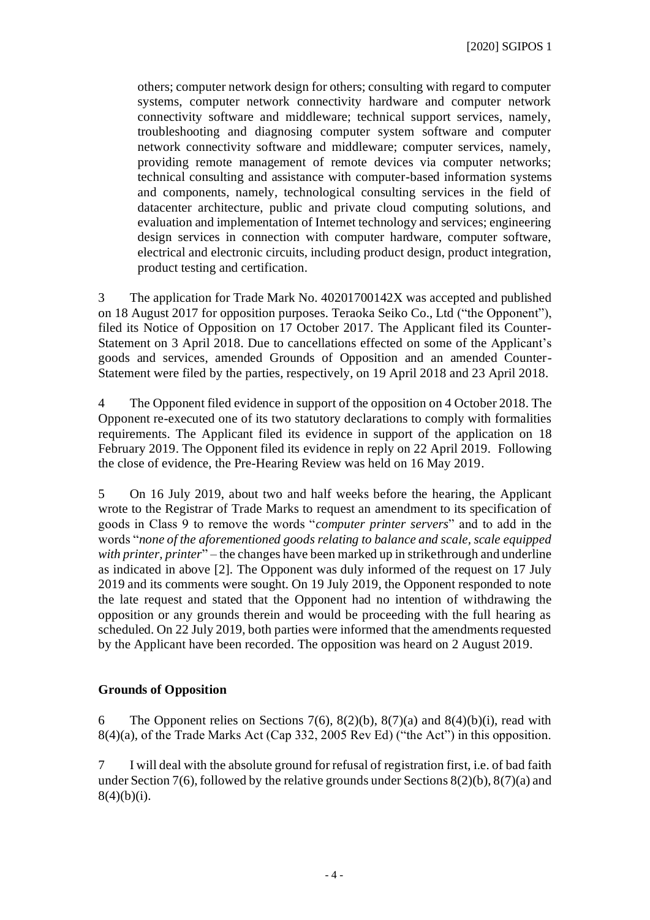others; computer network design for others; consulting with regard to computer systems, computer network connectivity hardware and computer network connectivity software and middleware; technical support services, namely, troubleshooting and diagnosing computer system software and computer network connectivity software and middleware; computer services, namely, providing remote management of remote devices via computer networks; technical consulting and assistance with computer-based information systems and components, namely, technological consulting services in the field of datacenter architecture, public and private cloud computing solutions, and evaluation and implementation of Internet technology and services; engineering design services in connection with computer hardware, computer software, electrical and electronic circuits, including product design, product integration, product testing and certification.

3 The application for Trade Mark No. 40201700142X was accepted and published on 18 August 2017 for opposition purposes. Teraoka Seiko Co., Ltd ("the Opponent"), filed its Notice of Opposition on 17 October 2017. The Applicant filed its Counter-Statement on 3 April 2018. Due to cancellations effected on some of the Applicant's goods and services, amended Grounds of Opposition and an amended Counter-Statement were filed by the parties, respectively, on 19 April 2018 and 23 April 2018.

4 The Opponent filed evidence in support of the opposition on 4 October 2018. The Opponent re-executed one of its two statutory declarations to comply with formalities requirements. The Applicant filed its evidence in support of the application on 18 February 2019. The Opponent filed its evidence in reply on 22 April 2019. Following the close of evidence, the Pre-Hearing Review was held on 16 May 2019.

5 On 16 July 2019, about two and half weeks before the hearing, the Applicant wrote to the Registrar of Trade Marks to request an amendment to its specification of goods in Class 9 to remove the words "*computer printer servers*" and to add in the words "*none of the aforementioned goods relating to balance and scale, scale equipped with printer, printer*" – the changes have been marked up in strikethrough and underline as indicated in above [2]. The Opponent was duly informed of the request on 17 July 2019 and its comments were sought. On 19 July 2019, the Opponent responded to note the late request and stated that the Opponent had no intention of withdrawing the opposition or any grounds therein and would be proceeding with the full hearing as scheduled. On 22 July 2019, both parties were informed that the amendments requested by the Applicant have been recorded. The opposition was heard on 2 August 2019.

### **Grounds of Opposition**

6 The Opponent relies on Sections 7(6),  $8(2)(b)$ ,  $8(7)(a)$  and  $8(4)(b)(i)$ , read with 8(4)(a), of the Trade Marks Act (Cap 332, 2005 Rev Ed) ("the Act") in this opposition.

7 I will deal with the absolute ground for refusal of registration first, i.e. of bad faith under Section 7(6), followed by the relative grounds under Sections 8(2)(b), 8(7)(a) and  $8(4)(b)(i)$ .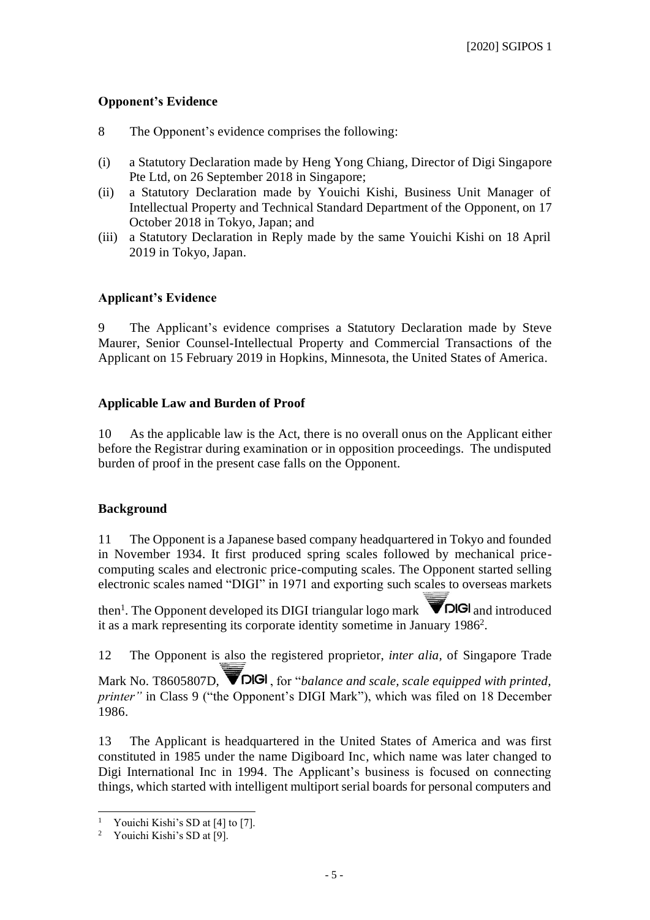## **Opponent's Evidence**

- 8 The Opponent's evidence comprises the following:
- (i) a Statutory Declaration made by Heng Yong Chiang, Director of Digi Singapore Pte Ltd, on 26 September 2018 in Singapore;
- (ii) a Statutory Declaration made by Youichi Kishi, Business Unit Manager of Intellectual Property and Technical Standard Department of the Opponent, on 17 October 2018 in Tokyo, Japan; and
- (iii) a Statutory Declaration in Reply made by the same Youichi Kishi on 18 April 2019 in Tokyo, Japan.

## **Applicant's Evidence**

9 The Applicant's evidence comprises a Statutory Declaration made by Steve Maurer, Senior Counsel-Intellectual Property and Commercial Transactions of the Applicant on 15 February 2019 in Hopkins, Minnesota, the United States of America.

## **Applicable Law and Burden of Proof**

10 As the applicable law is the Act, there is no overall onus on the Applicant either before the Registrar during examination or in opposition proceedings. The undisputed burden of proof in the present case falls on the Opponent.

## **Background**

11 The Opponent is a Japanese based company headquartered in Tokyo and founded in November 1934. It first produced spring scales followed by mechanical pricecomputing scales and electronic price-computing scales. The Opponent started selling electronic scales named "DIGI" in 1971 and exporting such scales to overseas markets

then<sup>1</sup>. The Opponent developed its DIGI triangular logo mark  $\blacksquare$  **DIGI** and introduced it as a mark representing its corporate identity sometime in January 1986<sup>2</sup>.

12 The Opponent is also the registered proprietor, *inter alia,* of Singapore Trade

Mark No. T8605807D, **VIGI**, for "*balance and scale, scale equipped with printed*, *printer*" in Class 9 ("the Opponent's DIGI Mark"), which was filed on 18 December 1986.

13 The Applicant is headquartered in the United States of America and was first constituted in 1985 under the name Digiboard Inc, which name was later changed to Digi International Inc in 1994. The Applicant's business is focused on connecting things, which started with intelligent multiport serial boards for personal computers and

Youichi Kishi's SD at [4] to [7].

<sup>2</sup> Youichi Kishi's SD at [9].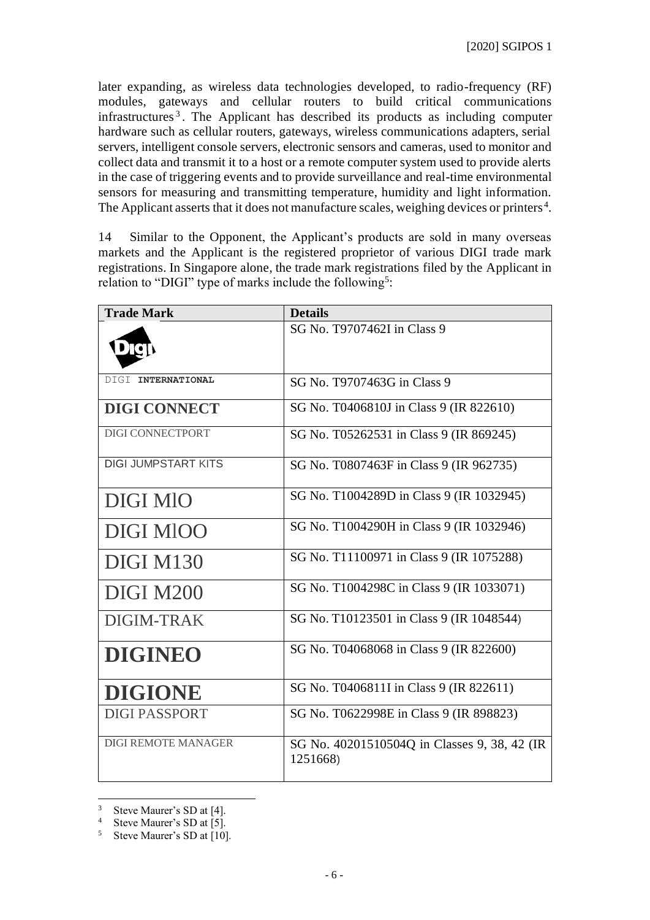later expanding, as wireless data technologies developed, to radio-frequency (RF) modules, gateways and cellular routers to build critical communications infrastructures <sup>3</sup> . The Applicant has described its products as including computer hardware such as cellular routers, gateways, wireless communications adapters, serial servers, intelligent console servers, electronic sensors and cameras, used to monitor and collect data and transmit it to a host or a remote computer system used to provide alerts in the case of triggering events and to provide surveillance and real-time environmental sensors for measuring and transmitting temperature, humidity and light information. The Applicant asserts that it does not manufacture scales, weighing devices or printers<sup>4</sup>.

14 Similar to the Opponent, the Applicant's products are sold in many overseas markets and the Applicant is the registered proprietor of various DIGI trade mark registrations. In Singapore alone, the trade mark registrations filed by the Applicant in relation to "DIGI" type of marks include the following<sup>5</sup>:

| <b>Trade Mark</b>          | <b>Details</b>                                           |
|----------------------------|----------------------------------------------------------|
|                            | SG No. T9707462I in Class 9                              |
| DIGI INTERNATIONAL         | SG No. T9707463G in Class 9                              |
| <b>DIGI CONNECT</b>        | SG No. T0406810J in Class 9 (IR 822610)                  |
| DIGI CONNECTPORT           | SG No. T05262531 in Class 9 (IR 869245)                  |
| <b>DIGI JUMPSTART KITS</b> | SG No. T0807463F in Class 9 (IR 962735)                  |
| <b>DIGI MIO</b>            | SG No. T1004289D in Class 9 (IR 1032945)                 |
| DIGI MIOO                  | SG No. T1004290H in Class 9 (IR 1032946)                 |
| <b>DIGI M130</b>           | SG No. T11100971 in Class 9 (IR 1075288)                 |
| <b>DIGI M200</b>           | SG No. T1004298C in Class 9 (IR 1033071)                 |
| DIGIM-TRAK                 | SG No. T10123501 in Class 9 (IR 1048544)                 |
| <b>DIGINEO</b>             | SG No. T04068068 in Class 9 (IR 822600)                  |
| <b>DIGIONE</b>             | SG No. T0406811I in Class 9 (IR 822611)                  |
| <b>DIGI PASSPORT</b>       | SG No. T0622998E in Class 9 (IR 898823)                  |
| <b>DIGI REMOTE MANAGER</b> | SG No. 40201510504Q in Classes 9, 38, 42 (IR<br>1251668) |

 $3$  Steve Maurer's SD at [4].<br>4 Steve Maurer's SD at [5]

Steve Maurer's SD at [5].

<sup>5</sup> Steve Maurer's SD at [10].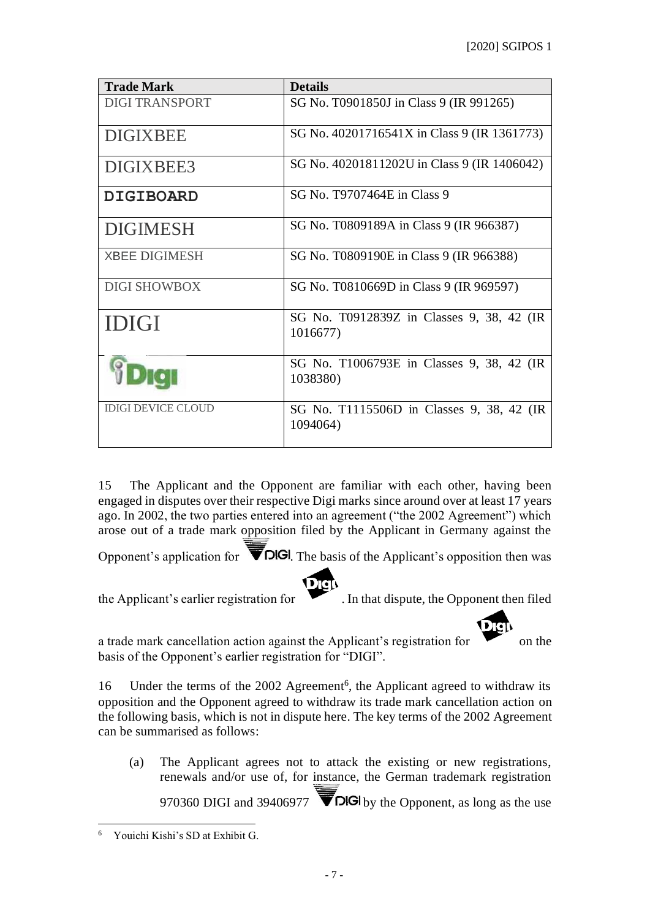| <b>Trade Mark</b>         | <b>Details</b>                                        |
|---------------------------|-------------------------------------------------------|
| <b>DIGI TRANSPORT</b>     | SG No. T0901850J in Class 9 (IR 991265)               |
| <b>DIGIXBEE</b>           | SG No. 40201716541X in Class 9 (IR 1361773)           |
| DIGIXBEE3                 | SG No. 40201811202U in Class 9 (IR 1406042)           |
| <b>DIGIBOARD</b>          | SG No. T9707464E in Class 9                           |
| <b>DIGIMESH</b>           | SG No. T0809189A in Class 9 (IR 966387)               |
| <b>XBEE DIGIMESH</b>      | SG No. T0809190E in Class 9 (IR 966388)               |
| <b>DIGI SHOWBOX</b>       | SG No. T0810669D in Class 9 (IR 969597)               |
| <b>IDIGI</b>              | SG No. T0912839Z in Classes 9, 38, 42 (IR<br>1016677) |
|                           | SG No. T1006793E in Classes 9, 38, 42 (IR<br>1038380) |
| <b>IDIGI DEVICE CLOUD</b> | SG No. T1115506D in Classes 9, 38, 42 (IR<br>1094064) |

15 The Applicant and the Opponent are familiar with each other, having been engaged in disputes over their respective Digi marks since around over at least 17 years ago. In 2002, the two parties entered into an agreement ("the 2002 Agreement") which arose out of a trade mark opposition filed by the Applicant in Germany against the

Opponent's application for  $\blacksquare$   $\blacksquare$   $\blacksquare$  The basis of the Applicant's opposition then was

Dgi the Applicant's earlier registration for . In that dispute, the Opponent then filed

a trade mark cancellation action against the Applicant's registration for on the basis of the Opponent's earlier registration for "DIGI".

16 Under the terms of the 2002 Agreement<sup>6</sup>, the Applicant agreed to withdraw its opposition and the Opponent agreed to withdraw its trade mark cancellation action on the following basis, which is not in dispute here. The key terms of the 2002 Agreement can be summarised as follows:

(a) The Applicant agrees not to attack the existing or new registrations, renewals and/or use of, for instance, the German trademark registration 970360 DIGI and 39406977  $\triangledown$  DIGI by the Opponent, as long as the use

<sup>6</sup> Youichi Kishi's SD at Exhibit G.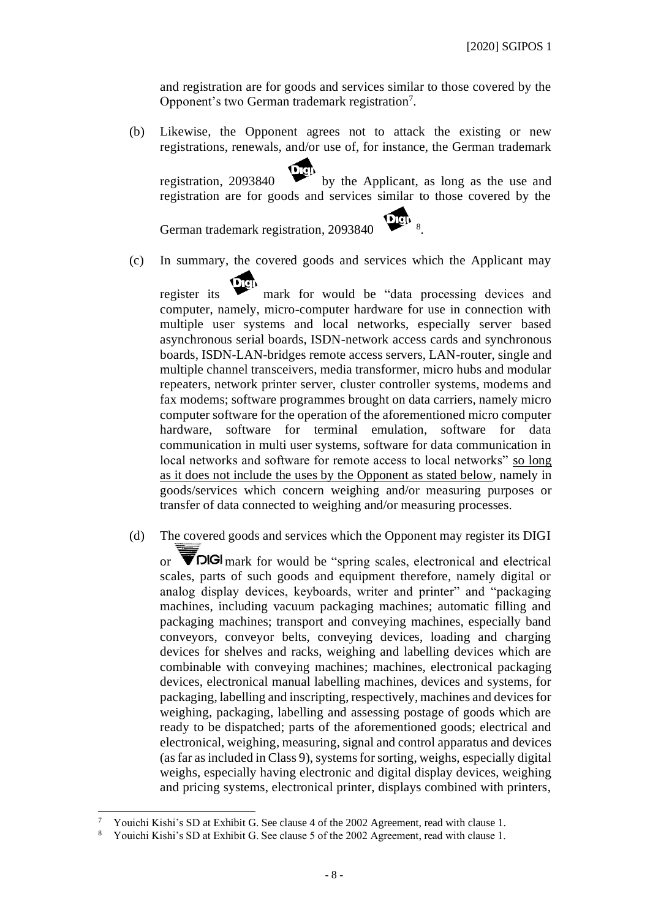and registration are for goods and services similar to those covered by the Opponent's two German trademark registration<sup>7</sup>.

(b) Likewise, the Opponent agrees not to attack the existing or new registrations, renewals, and/or use of, for instance, the German trademark

registration, 2093840 by the Applicant, as long as the use and registration are for goods and services similar to those covered by the

.

German trademark registration, 2093840 <sup>8</sup>

(c) In summary, the covered goods and services which the Applicant may

register its mark for would be "data processing devices and computer, namely, micro-computer hardware for use in connection with multiple user systems and local networks, especially server based asynchronous serial boards, ISDN-network access cards and synchronous boards, ISDN-LAN-bridges remote access servers, LAN-router, single and multiple channel transceivers, media transformer, micro hubs and modular repeaters, network printer server, cluster controller systems, modems and fax modems; software programmes brought on data carriers, namely micro computer software for the operation of the aforementioned micro computer hardware, software for terminal emulation, software for data communication in multi user systems, software for data communication in local networks and software for remote access to local networks" so long as it does not include the uses by the Opponent as stated below, namely in goods/services which concern weighing and/or measuring purposes or transfer of data connected to weighing and/or measuring processes.

(d) The covered goods and services which the Opponent may register its DIGI

or  $\triangledown$  DIGI mark for would be "spring scales, electronical and electrical scales, parts of such goods and equipment therefore, namely digital or analog display devices, keyboards, writer and printer" and "packaging machines, including vacuum packaging machines; automatic filling and packaging machines; transport and conveying machines, especially band conveyors, conveyor belts, conveying devices, loading and charging devices for shelves and racks, weighing and labelling devices which are combinable with conveying machines; machines, electronical packaging devices, electronical manual labelling machines, devices and systems, for packaging, labelling and inscripting, respectively, machines and devices for weighing, packaging, labelling and assessing postage of goods which are ready to be dispatched; parts of the aforementioned goods; electrical and electronical, weighing, measuring, signal and control apparatus and devices (as far as included in Class 9), systems for sorting, weighs, especially digital weighs, especially having electronic and digital display devices, weighing and pricing systems, electronical printer, displays combined with printers,

<sup>7</sup> Youichi Kishi's SD at Exhibit G. See clause 4 of the 2002 Agreement, read with clause 1.

<sup>8</sup> Youichi Kishi's SD at Exhibit G. See clause 5 of the 2002 Agreement, read with clause 1.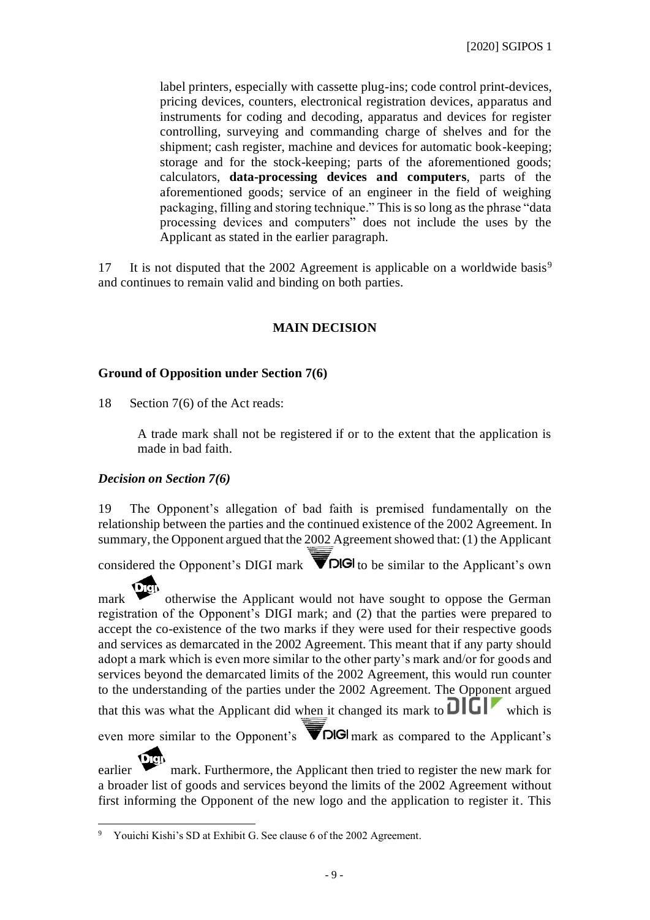label printers, especially with cassette plug-ins; code control print-devices, pricing devices, counters, electronical registration devices, apparatus and instruments for coding and decoding, apparatus and devices for register controlling, surveying and commanding charge of shelves and for the shipment; cash register, machine and devices for automatic book-keeping; storage and for the stock-keeping; parts of the aforementioned goods; calculators, **data-processing devices and computers**, parts of the aforementioned goods; service of an engineer in the field of weighing packaging, filling and storing technique." This is so long as the phrase "data processing devices and computers" does not include the uses by the Applicant as stated in the earlier paragraph.

17 It is not disputed that the 2002 Agreement is applicable on a worldwide basis<sup>9</sup> and continues to remain valid and binding on both parties.

## **MAIN DECISION**

### **Ground of Opposition under Section 7(6)**

18 Section 7(6) of the Act reads:

A trade mark shall not be registered if or to the extent that the application is made in bad faith.

### *Decision on Section 7(6)*

19 The Opponent's allegation of bad faith is premised fundamentally on the relationship between the parties and the continued existence of the 2002 Agreement. In summary, the Opponent argued that the 2002 Agreement showed that: (1) the Applicant

considered the Opponent's DIGI mark  $\blacksquare$ DIGI to be similar to the Applicant's own

mark  $\bullet$  otherwise the Applicant would not have sought to oppose the German registration of the Opponent's DIGI mark; and (2) that the parties were prepared to accept the co-existence of the two marks if they were used for their respective goods and services as demarcated in the 2002 Agreement. This meant that if any party should adopt a mark which is even more similar to the other party's mark and/or for goods and services beyond the demarcated limits of the 2002 Agreement, this would run counter to the understanding of the parties under the 2002 Agreement. The Opponent argued that this was what the Applicant did when it changed its mark to  $\overline{D}\overline{L}\overline{L}$  which is even more similar to the Opponent's  $\blacksquare$  **DIGI** mark as compared to the Applicant's

earlier mark. Furthermore, the Applicant then tried to register the new mark for a broader list of goods and services beyond the limits of the 2002 Agreement without first informing the Opponent of the new logo and the application to register it. This

<sup>9</sup> Youichi Kishi's SD at Exhibit G. See clause 6 of the 2002 Agreement.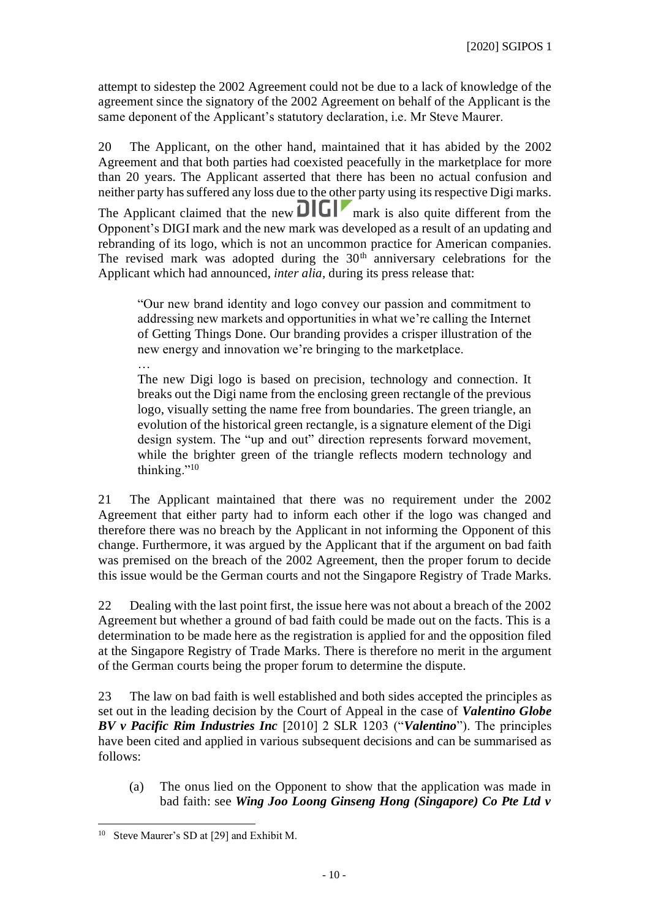attempt to sidestep the 2002 Agreement could not be due to a lack of knowledge of the agreement since the signatory of the 2002 Agreement on behalf of the Applicant is the same deponent of the Applicant's statutory declaration, i.e. Mr Steve Maurer.

20 The Applicant, on the other hand, maintained that it has abided by the 2002 Agreement and that both parties had coexisted peacefully in the marketplace for more than 20 years. The Applicant asserted that there has been no actual confusion and neither party has suffered any loss due to the other party using its respective Digi marks. The Applicant claimed that the new  $\frac{1}{\sqrt{1-\frac{1}{n}}}$  mark is also quite different from the Opponent's DIGI mark and the new mark was developed as a result of an updating and rebranding of its logo, which is not an uncommon practice for American companies. The revised mark was adopted during the  $30<sup>th</sup>$  anniversary celebrations for the Applicant which had announced, *inter alia,* during its press release that:

"Our new brand identity and logo convey our passion and commitment to addressing new markets and opportunities in what we're calling the Internet of Getting Things Done. Our branding provides a crisper illustration of the new energy and innovation we're bringing to the marketplace.

… The new Digi logo is based on precision, technology and connection. It breaks out the Digi name from the enclosing green rectangle of the previous logo, visually setting the name free from boundaries. The green triangle, an evolution of the historical green rectangle, is a signature element of the Digi design system. The "up and out" direction represents forward movement, while the brighter green of the triangle reflects modern technology and thinking."<sup>10</sup>

21 The Applicant maintained that there was no requirement under the 2002 Agreement that either party had to inform each other if the logo was changed and therefore there was no breach by the Applicant in not informing the Opponent of this change. Furthermore, it was argued by the Applicant that if the argument on bad faith was premised on the breach of the 2002 Agreement, then the proper forum to decide this issue would be the German courts and not the Singapore Registry of Trade Marks.

22 Dealing with the last point first, the issue here was not about a breach of the 2002 Agreement but whether a ground of bad faith could be made out on the facts. This is a determination to be made here as the registration is applied for and the opposition filed at the Singapore Registry of Trade Marks. There is therefore no merit in the argument of the German courts being the proper forum to determine the dispute.

23 The law on bad faith is well established and both sides accepted the principles as set out in the leading decision by the Court of Appeal in the case of *Valentino Globe BV v Pacific Rim Industries Inc* [2010] 2 SLR 1203 ("*Valentino*"). The principles have been cited and applied in various subsequent decisions and can be summarised as follows:

(a) The onus lied on the Opponent to show that the application was made in bad faith: see *Wing Joo Loong Ginseng Hong (Singapore) Co Pte Ltd v* 

Steve Maurer's SD at [29] and Exhibit M.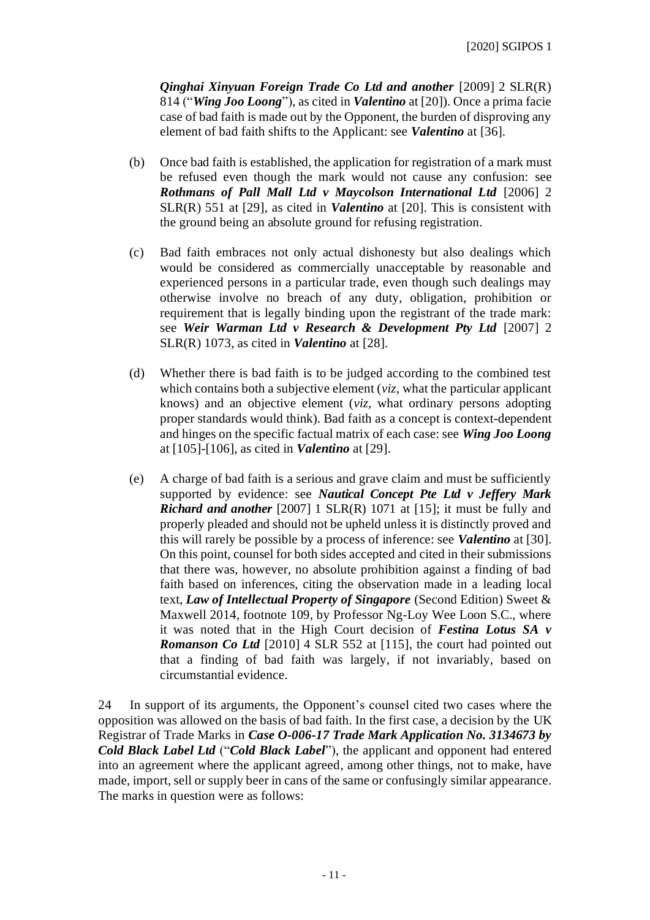*Qinghai Xinyuan Foreign Trade Co Ltd and another* [2009] 2 SLR(R) 814 ("*Wing Joo Loong*"), as cited in *Valentino* at [20]). Once a prima facie case of bad faith is made out by the Opponent, the burden of disproving any element of bad faith shifts to the Applicant: see *Valentino* at [36].

- (b) Once bad faith is established, the application for registration of a mark must be refused even though the mark would not cause any confusion: see *Rothmans of Pall Mall Ltd v Maycolson International Ltd* [2006] 2 SLR(R) 551 at [29], as cited in *Valentino* at [20]. This is consistent with the ground being an absolute ground for refusing registration.
- (c) Bad faith embraces not only actual dishonesty but also dealings which would be considered as commercially unacceptable by reasonable and experienced persons in a particular trade, even though such dealings may otherwise involve no breach of any duty, obligation, prohibition or requirement that is legally binding upon the registrant of the trade mark: see *Weir Warman Ltd v Research & Development Pty Ltd* [2007] 2 SLR(R) 1073, as cited in *Valentino* at [28].
- (d) Whether there is bad faith is to be judged according to the combined test which contains both a subjective element (*viz,* what the particular applicant knows) and an objective element (*viz,* what ordinary persons adopting proper standards would think). Bad faith as a concept is context-dependent and hinges on the specific factual matrix of each case: see *Wing Joo Loong* at [105]-[106], as cited in *Valentino* at [29].
- (e) A charge of bad faith is a serious and grave claim and must be sufficiently supported by evidence: see *Nautical Concept Pte Ltd v Jeffery Mark Richard and another* [2007] 1 SLR(R) 1071 at [15]; it must be fully and properly pleaded and should not be upheld unless it is distinctly proved and this will rarely be possible by a process of inference: see *Valentino* at [30]. On this point, counsel for both sides accepted and cited in their submissions that there was, however, no absolute prohibition against a finding of bad faith based on inferences, citing the observation made in a leading local text, *Law of Intellectual Property of Singapore* (Second Edition) Sweet & Maxwell 2014, footnote 109, by Professor Ng-Loy Wee Loon S.C., where it was noted that in the High Court decision of *Festina Lotus SA v Romanson Co Ltd* [2010] 4 SLR 552 at [115], the court had pointed out that a finding of bad faith was largely, if not invariably, based on circumstantial evidence.

24 In support of its arguments, the Opponent's counsel cited two cases where the opposition was allowed on the basis of bad faith. In the first case, a decision by the UK Registrar of Trade Marks in *Case O-006-17 Trade Mark Application No. 3134673 by Cold Black Label Ltd* ("*Cold Black Label*"), the applicant and opponent had entered into an agreement where the applicant agreed, among other things, not to make, have made, import, sell or supply beer in cans of the same or confusingly similar appearance. The marks in question were as follows: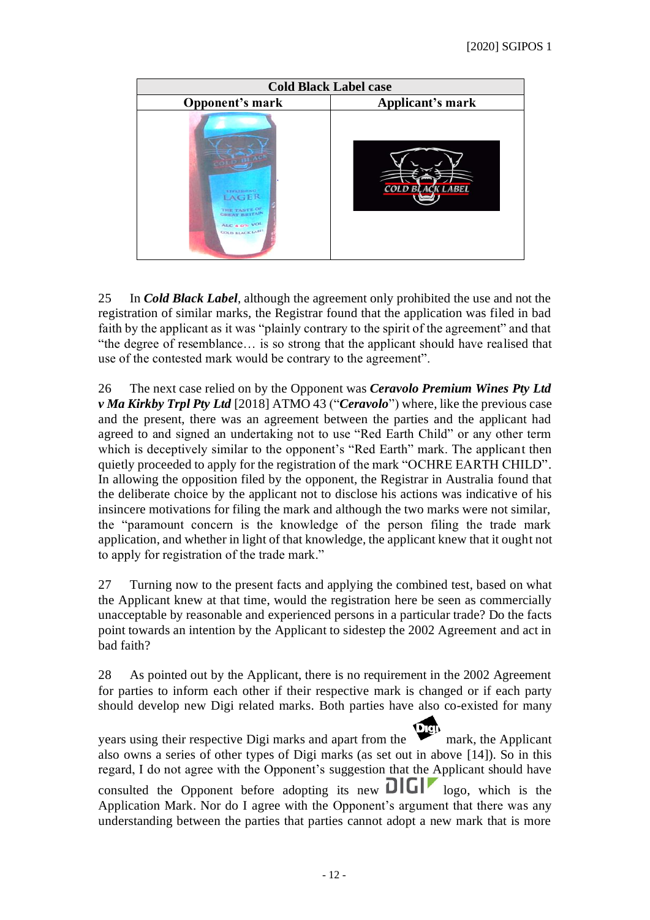

25 In *Cold Black Label*, although the agreement only prohibited the use and not the registration of similar marks, the Registrar found that the application was filed in bad faith by the applicant as it was "plainly contrary to the spirit of the agreement" and that "the degree of resemblance… is so strong that the applicant should have realised that use of the contested mark would be contrary to the agreement".

26 The next case relied on by the Opponent was *Ceravolo Premium Wines Pty Ltd v Ma Kirkby Trpl Pty Ltd* [2018] ATMO 43 ("*Ceravolo*") where, like the previous case and the present, there was an agreement between the parties and the applicant had agreed to and signed an undertaking not to use "Red Earth Child" or any other term which is deceptively similar to the opponent's "Red Earth" mark. The applicant then quietly proceeded to apply for the registration of the mark "OCHRE EARTH CHILD". In allowing the opposition filed by the opponent, the Registrar in Australia found that the deliberate choice by the applicant not to disclose his actions was indicative of his insincere motivations for filing the mark and although the two marks were not similar, the "paramount concern is the knowledge of the person filing the trade mark application, and whether in light of that knowledge, the applicant knew that it ought not to apply for registration of the trade mark."

27 Turning now to the present facts and applying the combined test, based on what the Applicant knew at that time, would the registration here be seen as commercially unacceptable by reasonable and experienced persons in a particular trade? Do the facts point towards an intention by the Applicant to sidestep the 2002 Agreement and act in bad faith?

28 As pointed out by the Applicant, there is no requirement in the 2002 Agreement for parties to inform each other if their respective mark is changed or if each party should develop new Digi related marks. Both parties have also co-existed for many

years using their respective Digi marks and apart from the mark, the Applicant also owns a series of other types of Digi marks (as set out in above [14]). So in this regard, I do not agree with the Opponent's suggestion that the Applicant should have consulted the Opponent before adopting its new  $\Box$ Application Mark. Nor do I agree with the Opponent's argument that there was any understanding between the parties that parties cannot adopt a new mark that is more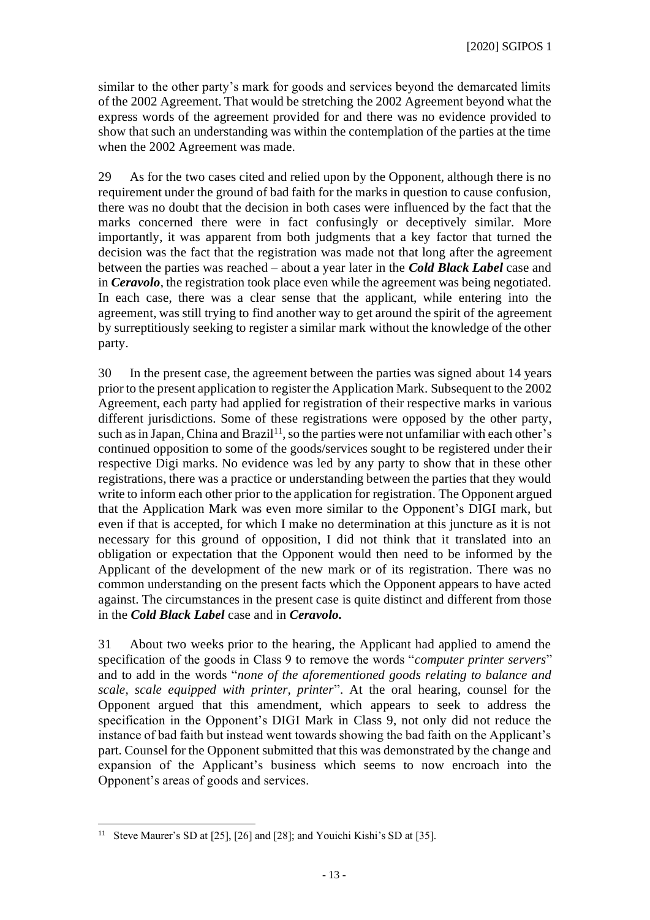similar to the other party's mark for goods and services beyond the demarcated limits of the 2002 Agreement. That would be stretching the 2002 Agreement beyond what the express words of the agreement provided for and there was no evidence provided to show that such an understanding was within the contemplation of the parties at the time when the 2002 Agreement was made.

29 As for the two cases cited and relied upon by the Opponent, although there is no requirement under the ground of bad faith for the marks in question to cause confusion, there was no doubt that the decision in both cases were influenced by the fact that the marks concerned there were in fact confusingly or deceptively similar. More importantly, it was apparent from both judgments that a key factor that turned the decision was the fact that the registration was made not that long after the agreement between the parties was reached – about a year later in the *Cold Black Label* case and in *Ceravolo*, the registration took place even while the agreement was being negotiated. In each case, there was a clear sense that the applicant, while entering into the agreement, was still trying to find another way to get around the spirit of the agreement by surreptitiously seeking to register a similar mark without the knowledge of the other party.

30 In the present case, the agreement between the parties was signed about 14 years prior to the present application to register the Application Mark. Subsequent to the 2002 Agreement, each party had applied for registration of their respective marks in various different jurisdictions. Some of these registrations were opposed by the other party, such as in Japan, China and Brazil<sup>11</sup>, so the parties were not unfamiliar with each other's continued opposition to some of the goods/services sought to be registered under their respective Digi marks. No evidence was led by any party to show that in these other registrations, there was a practice or understanding between the parties that they would write to inform each other prior to the application for registration. The Opponent argued that the Application Mark was even more similar to the Opponent's DIGI mark, but even if that is accepted, for which I make no determination at this juncture as it is not necessary for this ground of opposition, I did not think that it translated into an obligation or expectation that the Opponent would then need to be informed by the Applicant of the development of the new mark or of its registration. There was no common understanding on the present facts which the Opponent appears to have acted against. The circumstances in the present case is quite distinct and different from those in the *Cold Black Label* case and in *Ceravolo.*

31 About two weeks prior to the hearing, the Applicant had applied to amend the specification of the goods in Class 9 to remove the words "*computer printer servers*" and to add in the words "*none of the aforementioned goods relating to balance and scale, scale equipped with printer, printer*". At the oral hearing, counsel for the Opponent argued that this amendment, which appears to seek to address the specification in the Opponent's DIGI Mark in Class 9, not only did not reduce the instance of bad faith but instead went towards showing the bad faith on the Applicant's part. Counsel for the Opponent submitted that this was demonstrated by the change and expansion of the Applicant's business which seems to now encroach into the Opponent's areas of goods and services.

<sup>&</sup>lt;sup>11</sup> Steve Maurer's SD at [25], [26] and [28]; and Youichi Kishi's SD at [35].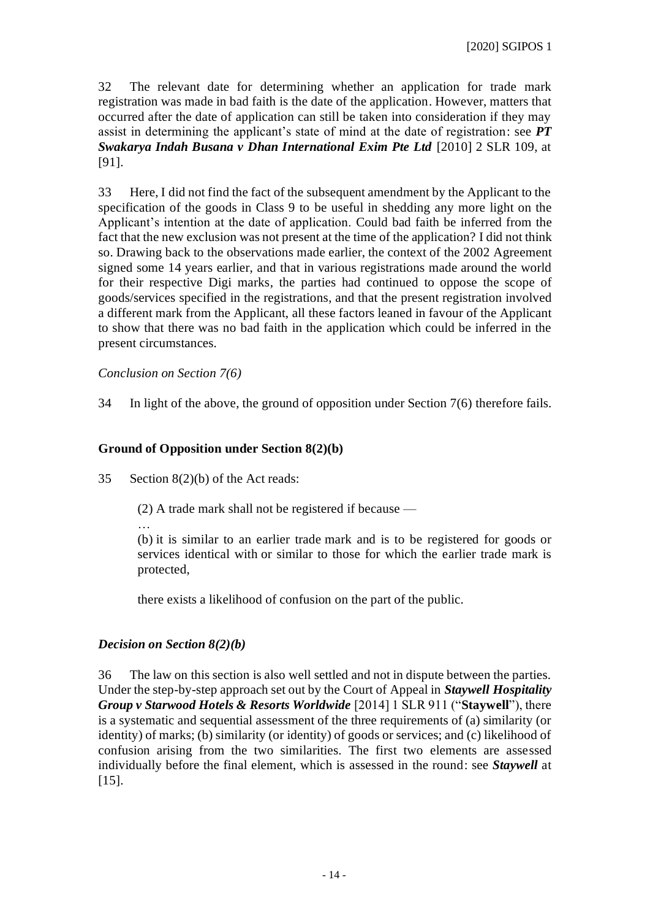32 The relevant date for determining whether an application for trade mark registration was made in bad faith is the date of the application. However, matters that occurred after the date of application can still be taken into consideration if they may assist in determining the applicant's state of mind at the date of registration: see *PT Swakarya Indah Busana v Dhan International Exim Pte Ltd* [2010] 2 SLR 109, at [91].

33 Here, I did not find the fact of the subsequent amendment by the Applicant to the specification of the goods in Class 9 to be useful in shedding any more light on the Applicant's intention at the date of application. Could bad faith be inferred from the fact that the new exclusion was not present at the time of the application? I did not think so. Drawing back to the observations made earlier, the context of the 2002 Agreement signed some 14 years earlier, and that in various registrations made around the world for their respective Digi marks, the parties had continued to oppose the scope of goods/services specified in the registrations, and that the present registration involved a different mark from the Applicant, all these factors leaned in favour of the Applicant to show that there was no bad faith in the application which could be inferred in the present circumstances.

*Conclusion on Section 7(6)*

34 In light of the above, the ground of opposition under Section 7(6) therefore fails.

### **Ground of Opposition under Section 8(2)(b)**

35 Section 8(2)(b) of the Act reads:

(2) A trade mark shall not be registered if because —

…

(b) it is similar to an earlier trade mark and is to be registered for goods or services identical with or similar to those for which the earlier trade mark is protected,

there exists a likelihood of confusion on the part of the public.

#### *Decision on Section 8(2)(b)*

36 The law on this section is also well settled and not in dispute between the parties. Under the step-by-step approach set out by the Court of Appeal in *Staywell Hospitality Group v Starwood Hotels & Resorts Worldwide* [2014] 1 SLR 911 ("**Staywell**"), there is a systematic and sequential assessment of the three requirements of (a) similarity (or identity) of marks; (b) similarity (or identity) of goods or services; and (c) likelihood of confusion arising from the two similarities. The first two elements are assessed individually before the final element, which is assessed in the round: see *Staywell* at [15].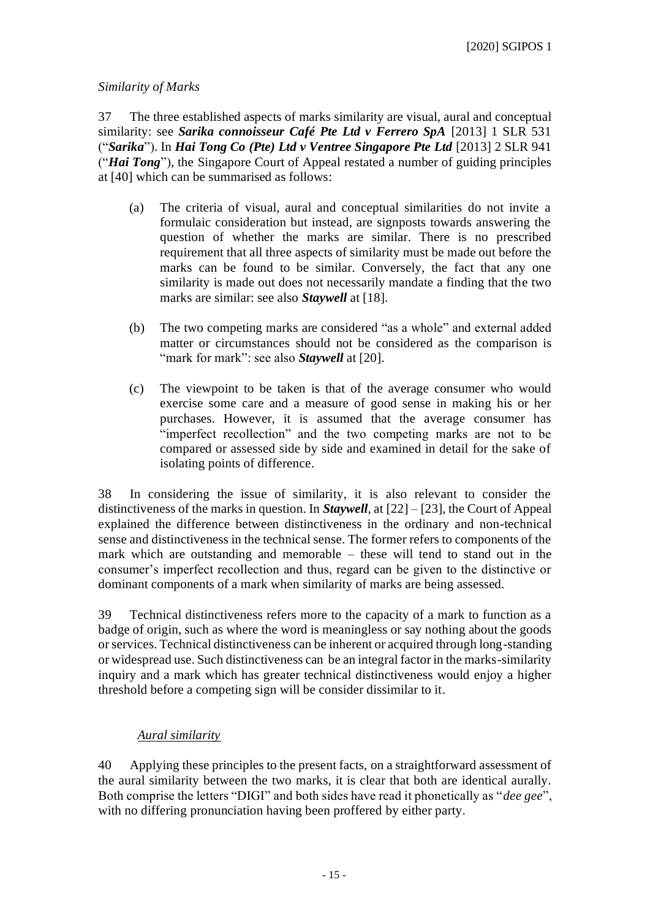## *Similarity of Marks*

37 The three established aspects of marks similarity are visual, aural and conceptual similarity: see *Sarika connoisseur Café Pte Ltd v Ferrero SpA* [2013] 1 SLR 531 ("*Sarika*"). In *Hai Tong Co (Pte) Ltd v Ventree Singapore Pte Ltd* [2013] 2 SLR 941 ("*Hai Tong*"), the Singapore Court of Appeal restated a number of guiding principles at [40] which can be summarised as follows:

- (a) The criteria of visual, aural and conceptual similarities do not invite a formulaic consideration but instead, are signposts towards answering the question of whether the marks are similar. There is no prescribed requirement that all three aspects of similarity must be made out before the marks can be found to be similar. Conversely, the fact that any one similarity is made out does not necessarily mandate a finding that the two marks are similar: see also *Staywell* at [18].
- (b) The two competing marks are considered "as a whole" and external added matter or circumstances should not be considered as the comparison is "mark for mark": see also *Staywell* at [20].
- (c) The viewpoint to be taken is that of the average consumer who would exercise some care and a measure of good sense in making his or her purchases. However, it is assumed that the average consumer has "imperfect recollection" and the two competing marks are not to be compared or assessed side by side and examined in detail for the sake of isolating points of difference.

38 In considering the issue of similarity, it is also relevant to consider the distinctiveness of the marks in question. In *Staywell*, at [22] – [23], the Court of Appeal explained the difference between distinctiveness in the ordinary and non-technical sense and distinctiveness in the technical sense. The former refers to components of the mark which are outstanding and memorable – these will tend to stand out in the consumer's imperfect recollection and thus, regard can be given to the distinctive or dominant components of a mark when similarity of marks are being assessed.

39 Technical distinctiveness refers more to the capacity of a mark to function as a badge of origin, such as where the word is meaningless or say nothing about the goods or services. Technical distinctiveness can be inherent or acquired through long-standing or widespread use. Such distinctiveness can be an integral factor in the marks-similarity inquiry and a mark which has greater technical distinctiveness would enjoy a higher threshold before a competing sign will be consider dissimilar to it.

## *Aural similarity*

40 Applying these principles to the present facts, on a straightforward assessment of the aural similarity between the two marks, it is clear that both are identical aurally. Both comprise the letters "DIGI" and both sides have read it phonetically as "*dee gee*", with no differing pronunciation having been proffered by either party.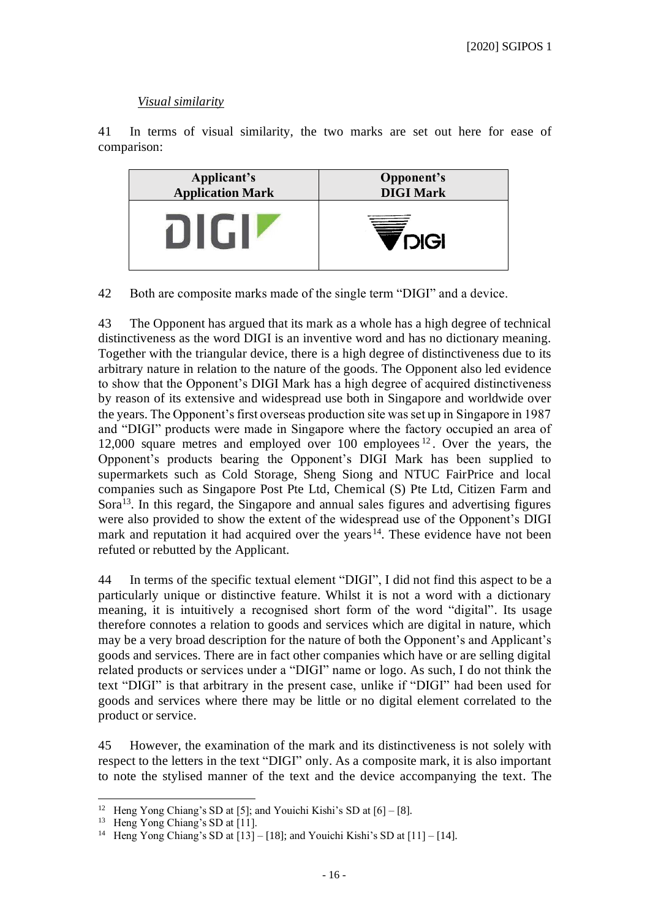## *Visual similarity*

41 In terms of visual similarity, the two marks are set out here for ease of comparison:



42 Both are composite marks made of the single term "DIGI" and a device.

43 The Opponent has argued that its mark as a whole has a high degree of technical distinctiveness as the word DIGI is an inventive word and has no dictionary meaning. Together with the triangular device, there is a high degree of distinctiveness due to its arbitrary nature in relation to the nature of the goods. The Opponent also led evidence to show that the Opponent's DIGI Mark has a high degree of acquired distinctiveness by reason of its extensive and widespread use both in Singapore and worldwide over the years. The Opponent's first overseas production site was set up in Singapore in 1987 and "DIGI" products were made in Singapore where the factory occupied an area of 12,000 square metres and employed over 100 employees <sup>12</sup> . Over the years, the Opponent's products bearing the Opponent's DIGI Mark has been supplied to supermarkets such as Cold Storage, Sheng Siong and NTUC FairPrice and local companies such as Singapore Post Pte Ltd, Chemical (S) Pte Ltd, Citizen Farm and Sora<sup>13</sup>. In this regard, the Singapore and annual sales figures and advertising figures were also provided to show the extent of the widespread use of the Opponent's DIGI mark and reputation it had acquired over the years<sup>14</sup>. These evidence have not been refuted or rebutted by the Applicant.

44 In terms of the specific textual element "DIGI", I did not find this aspect to be a particularly unique or distinctive feature. Whilst it is not a word with a dictionary meaning, it is intuitively a recognised short form of the word "digital". Its usage therefore connotes a relation to goods and services which are digital in nature, which may be a very broad description for the nature of both the Opponent's and Applicant's goods and services. There are in fact other companies which have or are selling digital related products or services under a "DIGI" name or logo. As such, I do not think the text "DIGI" is that arbitrary in the present case, unlike if "DIGI" had been used for goods and services where there may be little or no digital element correlated to the product or service.

45 However, the examination of the mark and its distinctiveness is not solely with respect to the letters in the text "DIGI" only. As a composite mark, it is also important to note the stylised manner of the text and the device accompanying the text. The

<sup>&</sup>lt;sup>12</sup> Heng Yong Chiang's SD at [5]; and Youichi Kishi's SD at [6] – [8].

<sup>&</sup>lt;sup>13</sup> Heng Yong Chiang's SD at [11].

<sup>&</sup>lt;sup>14</sup> Heng Yong Chiang's SD at  $[13] - [18]$ ; and Youichi Kishi's SD at  $[11] - [14]$ .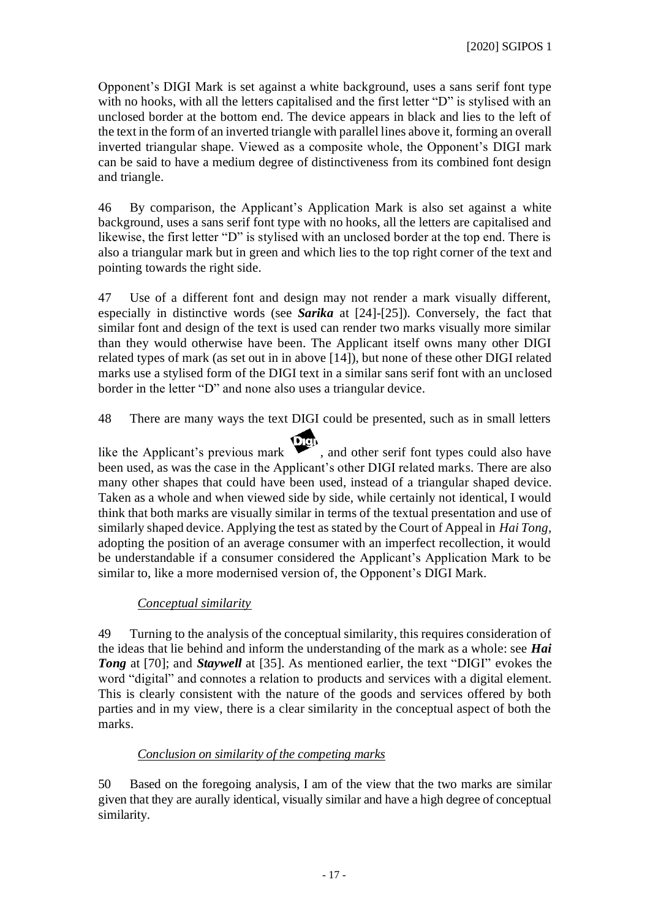Opponent's DIGI Mark is set against a white background, uses a sans serif font type with no hooks, with all the letters capitalised and the first letter "D" is stylised with an unclosed border at the bottom end. The device appears in black and lies to the left of the text in the form of an inverted triangle with parallel lines above it, forming an overall inverted triangular shape. Viewed as a composite whole, the Opponent's DIGI mark can be said to have a medium degree of distinctiveness from its combined font design and triangle.

46 By comparison, the Applicant's Application Mark is also set against a white background, uses a sans serif font type with no hooks, all the letters are capitalised and likewise, the first letter "D" is stylised with an unclosed border at the top end. There is also a triangular mark but in green and which lies to the top right corner of the text and pointing towards the right side.

47 Use of a different font and design may not render a mark visually different, especially in distinctive words (see *Sarika* at [24]-[25]). Conversely, the fact that similar font and design of the text is used can render two marks visually more similar than they would otherwise have been. The Applicant itself owns many other DIGI related types of mark (as set out in in above [14]), but none of these other DIGI related marks use a stylised form of the DIGI text in a similar sans serif font with an unclosed border in the letter "D" and none also uses a triangular device.

48 There are many ways the text DIGI could be presented, such as in small letters

like the Applicant's previous mark  $\bullet$ , and other serif font types could also have been used, as was the case in the Applicant's other DIGI related marks. There are also many other shapes that could have been used, instead of a triangular shaped device. Taken as a whole and when viewed side by side, while certainly not identical, I would think that both marks are visually similar in terms of the textual presentation and use of similarly shaped device. Applying the test as stated by the Court of Appeal in *Hai Tong,*  adopting the position of an average consumer with an imperfect recollection, it would be understandable if a consumer considered the Applicant's Application Mark to be similar to, like a more modernised version of, the Opponent's DIGI Mark.

## *Conceptual similarity*

49 Turning to the analysis of the conceptual similarity, this requires consideration of the ideas that lie behind and inform the understanding of the mark as a whole: see *Hai*  **Tong** at [70]; and *Staywell* at [35]. As mentioned earlier, the text "DIGI" evokes the word "digital" and connotes a relation to products and services with a digital element. This is clearly consistent with the nature of the goods and services offered by both parties and in my view, there is a clear similarity in the conceptual aspect of both the marks.

## *Conclusion on similarity of the competing marks*

50 Based on the foregoing analysis, I am of the view that the two marks are similar given that they are aurally identical, visually similar and have a high degree of conceptual similarity.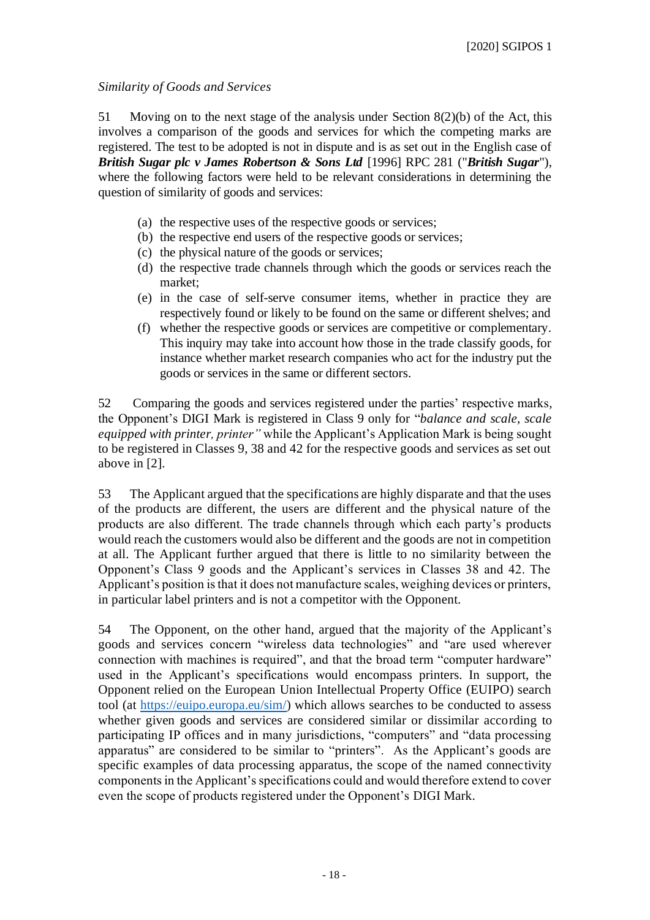## *Similarity of Goods and Services*

51 Moving on to the next stage of the analysis under Section 8(2)(b) of the Act, this involves a comparison of the goods and services for which the competing marks are registered. The test to be adopted is not in dispute and is as set out in the English case of *British Sugar plc v James Robertson & Sons Ltd* [1996] RPC 281 ("*British Sugar*"), where the following factors were held to be relevant considerations in determining the question of similarity of goods and services:

- (a) the respective uses of the respective goods or services;
- (b) the respective end users of the respective goods or services;
- (c) the physical nature of the goods or services;
- (d) the respective trade channels through which the goods or services reach the market;
- (e) in the case of self-serve consumer items, whether in practice they are respectively found or likely to be found on the same or different shelves; and
- (f) whether the respective goods or services are competitive or complementary. This inquiry may take into account how those in the trade classify goods, for instance whether market research companies who act for the industry put the goods or services in the same or different sectors.

52 Comparing the goods and services registered under the parties' respective marks, the Opponent's DIGI Mark is registered in Class 9 only for "*balance and scale, scale equipped with printer, printer"* while the Applicant's Application Mark is being sought to be registered in Classes 9, 38 and 42 for the respective goods and services as set out above in [2].

53 The Applicant argued that the specifications are highly disparate and that the uses of the products are different, the users are different and the physical nature of the products are also different. The trade channels through which each party's products would reach the customers would also be different and the goods are not in competition at all. The Applicant further argued that there is little to no similarity between the Opponent's Class 9 goods and the Applicant's services in Classes 38 and 42. The Applicant's position is that it does not manufacture scales, weighing devices or printers, in particular label printers and is not a competitor with the Opponent.

54 The Opponent, on the other hand, argued that the majority of the Applicant's goods and services concern "wireless data technologies" and "are used wherever connection with machines is required", and that the broad term "computer hardware" used in the Applicant's specifications would encompass printers. In support, the Opponent relied on the European Union Intellectual Property Office (EUIPO) search tool (at [https://euipo.europa.eu/sim/\)](https://euipo.europa.eu/sim/) which allows searches to be conducted to assess whether given goods and services are considered similar or dissimilar according to participating IP offices and in many jurisdictions, "computers" and "data processing apparatus" are considered to be similar to "printers". As the Applicant's goods are specific examples of data processing apparatus, the scope of the named connectivity components in the Applicant's specifications could and would therefore extend to cover even the scope of products registered under the Opponent's DIGI Mark.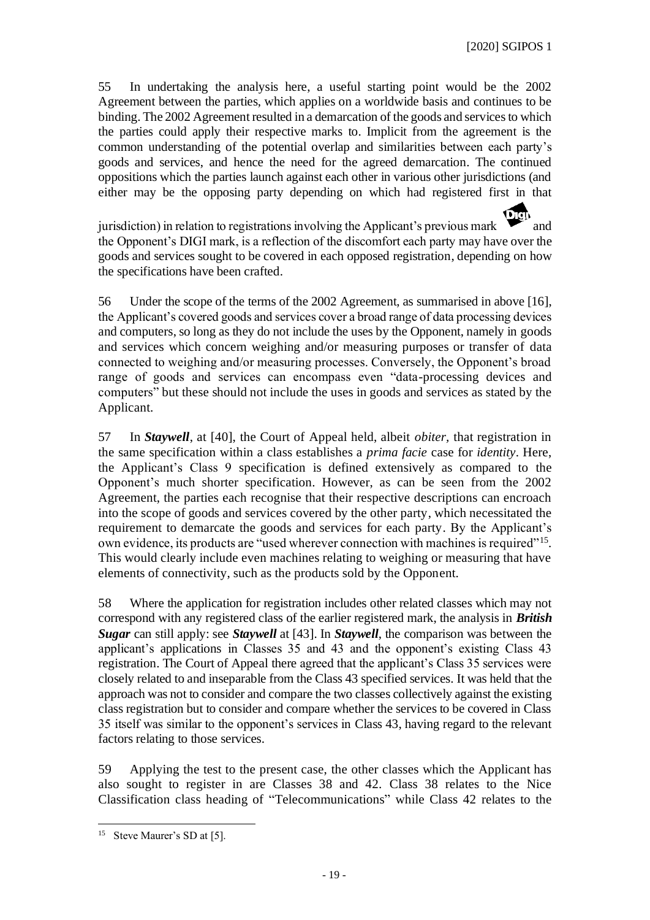55 In undertaking the analysis here, a useful starting point would be the 2002 Agreement between the parties, which applies on a worldwide basis and continues to be binding. The 2002 Agreement resulted in a demarcation of the goods and services to which the parties could apply their respective marks to. Implicit from the agreement is the common understanding of the potential overlap and similarities between each party's goods and services, and hence the need for the agreed demarcation. The continued oppositions which the parties launch against each other in various other jurisdictions (and either may be the opposing party depending on which had registered first in that

jurisdiction) in relation to registrations involving the Applicant's previous mark  $\bullet$  and the Opponent's DIGI mark, is a reflection of the discomfort each party may have over the goods and services sought to be covered in each opposed registration, depending on how the specifications have been crafted.

56 Under the scope of the terms of the 2002 Agreement, as summarised in above [16], the Applicant's covered goods and services cover a broad range of data processing devices and computers, so long as they do not include the uses by the Opponent, namely in goods and services which concern weighing and/or measuring purposes or transfer of data connected to weighing and/or measuring processes. Conversely, the Opponent's broad range of goods and services can encompass even "data-processing devices and computers" but these should not include the uses in goods and services as stated by the Applicant.

57 In *Staywell*, at [40], the Court of Appeal held, albeit *obiter,* that registration in the same specification within a class establishes a *prima facie* case for *identity*. Here, the Applicant's Class 9 specification is defined extensively as compared to the Opponent's much shorter specification. However, as can be seen from the 2002 Agreement, the parties each recognise that their respective descriptions can encroach into the scope of goods and services covered by the other party, which necessitated the requirement to demarcate the goods and services for each party. By the Applicant's own evidence, its products are "used wherever connection with machines is required"<sup>15</sup>. This would clearly include even machines relating to weighing or measuring that have elements of connectivity, such as the products sold by the Opponent.

58 Where the application for registration includes other related classes which may not correspond with any registered class of the earlier registered mark, the analysis in *British Sugar* can still apply: see *Staywell* at [43]. In *Staywell*, the comparison was between the applicant's applications in Classes 35 and 43 and the opponent's existing Class 43 registration. The Court of Appeal there agreed that the applicant's Class 35 services were closely related to and inseparable from the Class 43 specified services. It was held that the approach was not to consider and compare the two classes collectively against the existing class registration but to consider and compare whether the services to be covered in Class 35 itself was similar to the opponent's services in Class 43, having regard to the relevant factors relating to those services.

59 Applying the test to the present case, the other classes which the Applicant has also sought to register in are Classes 38 and 42. Class 38 relates to the Nice Classification class heading of "Telecommunications" while Class 42 relates to the

<sup>&</sup>lt;sup>15</sup> Steve Maurer's SD at [5].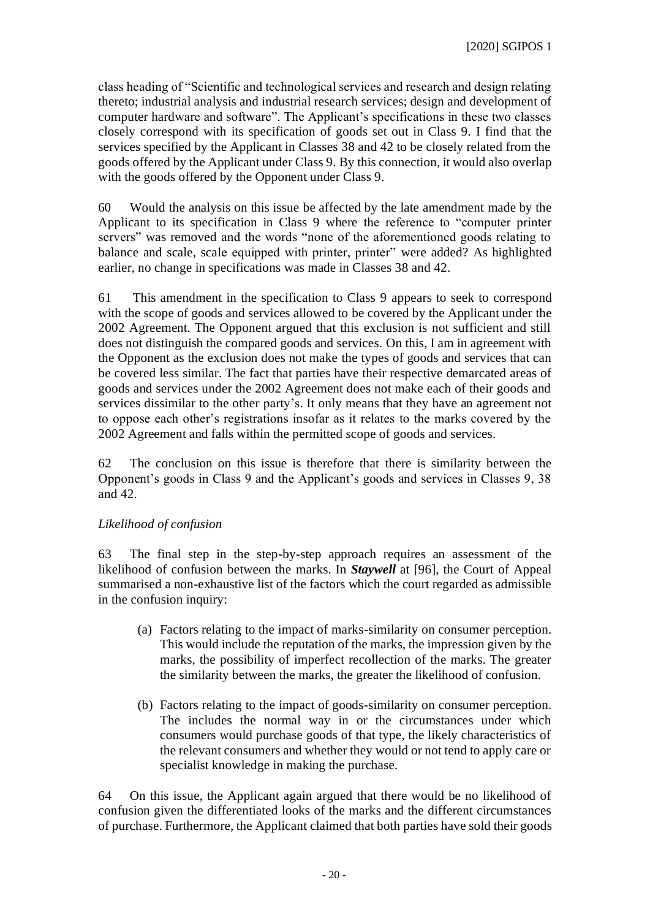class heading of "Scientific and technological services and research and design relating thereto; industrial analysis and industrial research services; design and development of computer hardware and software". The Applicant's specifications in these two classes closely correspond with its specification of goods set out in Class 9. I find that the services specified by the Applicant in Classes 38 and 42 to be closely related from the goods offered by the Applicant under Class 9. By this connection, it would also overlap with the goods offered by the Opponent under Class 9.

60 Would the analysis on this issue be affected by the late amendment made by the Applicant to its specification in Class 9 where the reference to "computer printer servers" was removed and the words "none of the aforementioned goods relating to balance and scale, scale equipped with printer, printer" were added? As highlighted earlier, no change in specifications was made in Classes 38 and 42.

61 This amendment in the specification to Class 9 appears to seek to correspond with the scope of goods and services allowed to be covered by the Applicant under the 2002 Agreement. The Opponent argued that this exclusion is not sufficient and still does not distinguish the compared goods and services. On this, I am in agreement with the Opponent as the exclusion does not make the types of goods and services that can be covered less similar. The fact that parties have their respective demarcated areas of goods and services under the 2002 Agreement does not make each of their goods and services dissimilar to the other party's. It only means that they have an agreement not to oppose each other's registrations insofar as it relates to the marks covered by the 2002 Agreement and falls within the permitted scope of goods and services.

62 The conclusion on this issue is therefore that there is similarity between the Opponent's goods in Class 9 and the Applicant's goods and services in Classes 9, 38 and 42.

## *Likelihood of confusion*

63 The final step in the step-by-step approach requires an assessment of the likelihood of confusion between the marks. In *Staywell* at [96], the Court of Appeal summarised a non-exhaustive list of the factors which the court regarded as admissible in the confusion inquiry:

- (a) Factors relating to the impact of marks-similarity on consumer perception. This would include the reputation of the marks, the impression given by the marks, the possibility of imperfect recollection of the marks. The greater the similarity between the marks, the greater the likelihood of confusion.
- (b) Factors relating to the impact of goods-similarity on consumer perception. The includes the normal way in or the circumstances under which consumers would purchase goods of that type, the likely characteristics of the relevant consumers and whether they would or not tend to apply care or specialist knowledge in making the purchase.

64 On this issue, the Applicant again argued that there would be no likelihood of confusion given the differentiated looks of the marks and the different circumstances of purchase. Furthermore, the Applicant claimed that both parties have sold their goods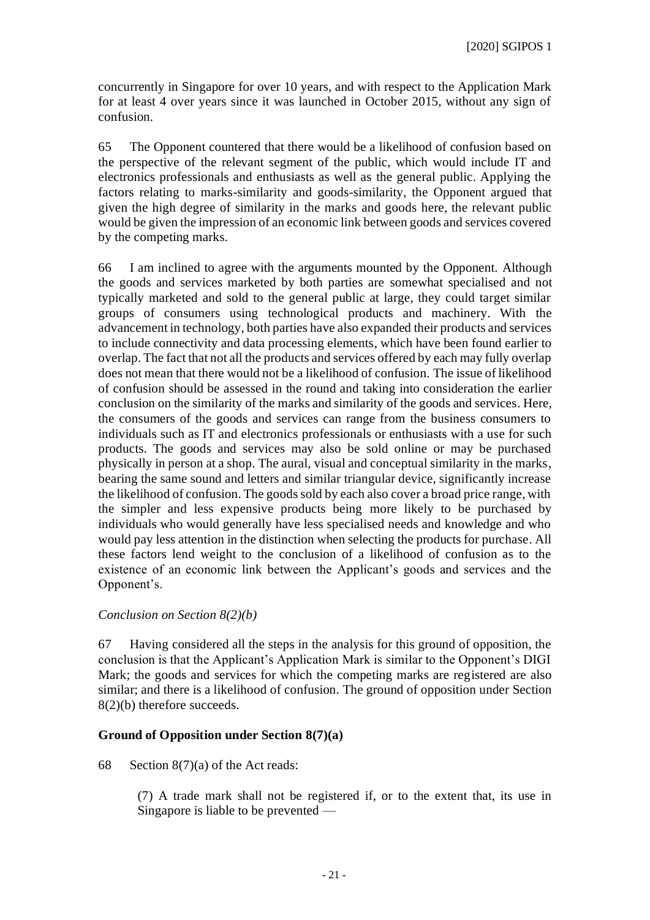concurrently in Singapore for over 10 years, and with respect to the Application Mark for at least 4 over years since it was launched in October 2015, without any sign of confusion.

65 The Opponent countered that there would be a likelihood of confusion based on the perspective of the relevant segment of the public, which would include IT and electronics professionals and enthusiasts as well as the general public. Applying the factors relating to marks-similarity and goods-similarity, the Opponent argued that given the high degree of similarity in the marks and goods here, the relevant public would be given the impression of an economic link between goods and services covered by the competing marks.

66 I am inclined to agree with the arguments mounted by the Opponent. Although the goods and services marketed by both parties are somewhat specialised and not typically marketed and sold to the general public at large, they could target similar groups of consumers using technological products and machinery. With the advancement in technology, both parties have also expanded their products and services to include connectivity and data processing elements, which have been found earlier to overlap. The fact that not all the products and services offered by each may fully overlap does not mean that there would not be a likelihood of confusion. The issue of likelihood of confusion should be assessed in the round and taking into consideration the earlier conclusion on the similarity of the marks and similarity of the goods and services. Here, the consumers of the goods and services can range from the business consumers to individuals such as IT and electronics professionals or enthusiasts with a use for such products. The goods and services may also be sold online or may be purchased physically in person at a shop. The aural, visual and conceptual similarity in the marks, bearing the same sound and letters and similar triangular device, significantly increase the likelihood of confusion. The goods sold by each also cover a broad price range, with the simpler and less expensive products being more likely to be purchased by individuals who would generally have less specialised needs and knowledge and who would pay less attention in the distinction when selecting the products for purchase. All these factors lend weight to the conclusion of a likelihood of confusion as to the existence of an economic link between the Applicant's goods and services and the Opponent's.

### *Conclusion on Section 8(2)(b)*

67 Having considered all the steps in the analysis for this ground of opposition, the conclusion is that the Applicant's Application Mark is similar to the Opponent's DIGI Mark; the goods and services for which the competing marks are registered are also similar; and there is a likelihood of confusion. The ground of opposition under Section 8(2)(b) therefore succeeds.

### **Ground of Opposition under Section 8(7)(a)**

## 68 Section 8(7)(a) of the Act reads:

(7) A trade mark shall not be registered if, or to the extent that, its use in Singapore is liable to be prevented —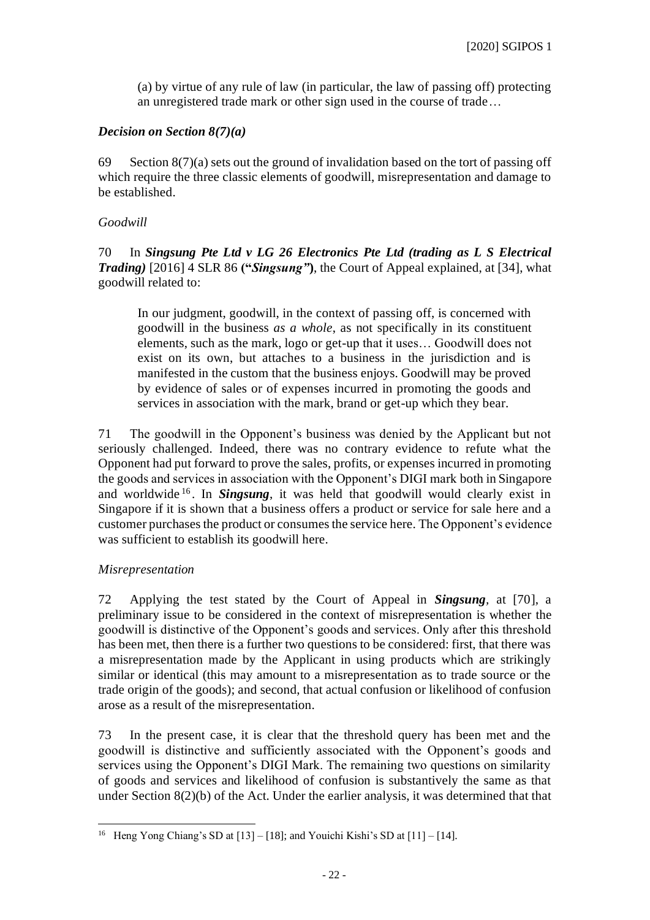(a) by virtue of any rule of law (in particular, the law of passing off) protecting an unregistered trade mark or other sign used in the course of trade…

## *Decision on Section 8(7)(a)*

69 Section  $8(7)(a)$  sets out the ground of invalidation based on the tort of passing off which require the three classic elements of goodwill, misrepresentation and damage to be established.

## *Goodwill*

70 In *Singsung Pte Ltd v LG 26 Electronics Pte Ltd (trading as L S Electrical Trading)* [2016] 4 SLR 86 **("***Singsung"***)**, the Court of Appeal explained, at [34], what goodwill related to:

In our judgment, goodwill, in the context of passing off, is concerned with goodwill in the business *as a whole*, as not specifically in its constituent elements, such as the mark, logo or get-up that it uses… Goodwill does not exist on its own, but attaches to a business in the jurisdiction and is manifested in the custom that the business enjoys. Goodwill may be proved by evidence of sales or of expenses incurred in promoting the goods and services in association with the mark, brand or get-up which they bear.

71 The goodwill in the Opponent's business was denied by the Applicant but not seriously challenged. Indeed, there was no contrary evidence to refute what the Opponent had put forward to prove the sales, profits, or expenses incurred in promoting the goods and services in association with the Opponent's DIGI mark both in Singapore and worldwide <sup>16</sup> . In *Singsung*, it was held that goodwill would clearly exist in Singapore if it is shown that a business offers a product or service for sale here and a customer purchases the product or consumes the service here. The Opponent's evidence was sufficient to establish its goodwill here.

## *Misrepresentation*

72 Applying the test stated by the Court of Appeal in *Singsung,* at [70], a preliminary issue to be considered in the context of misrepresentation is whether the goodwill is distinctive of the Opponent's goods and services. Only after this threshold has been met, then there is a further two questions to be considered: first, that there was a misrepresentation made by the Applicant in using products which are strikingly similar or identical (this may amount to a misrepresentation as to trade source or the trade origin of the goods); and second, that actual confusion or likelihood of confusion arose as a result of the misrepresentation.

73 In the present case, it is clear that the threshold query has been met and the goodwill is distinctive and sufficiently associated with the Opponent's goods and services using the Opponent's DIGI Mark. The remaining two questions on similarity of goods and services and likelihood of confusion is substantively the same as that under Section 8(2)(b) of the Act. Under the earlier analysis, it was determined that that

<sup>&</sup>lt;sup>16</sup> Heng Yong Chiang's SD at  $[13] - [18]$ ; and Youichi Kishi's SD at  $[11] - [14]$ .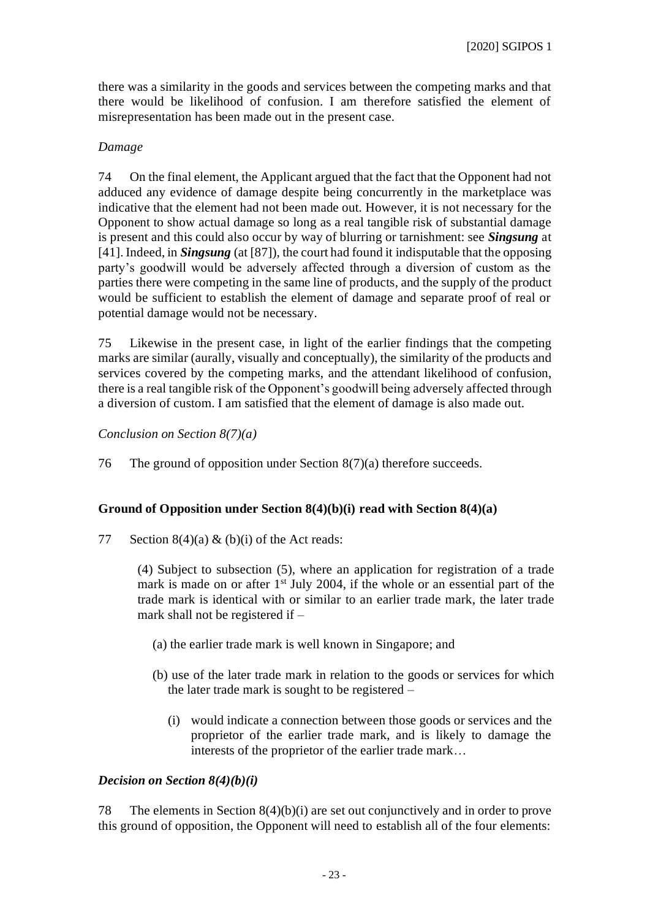there was a similarity in the goods and services between the competing marks and that there would be likelihood of confusion. I am therefore satisfied the element of misrepresentation has been made out in the present case.

## *Damage*

74 On the final element, the Applicant argued that the fact that the Opponent had not adduced any evidence of damage despite being concurrently in the marketplace was indicative that the element had not been made out. However, it is not necessary for the Opponent to show actual damage so long as a real tangible risk of substantial damage is present and this could also occur by way of blurring or tarnishment: see *Singsung* at [41]. Indeed, in *Singsung* (at [87]), the court had found it indisputable that the opposing party's goodwill would be adversely affected through a diversion of custom as the parties there were competing in the same line of products, and the supply of the product would be sufficient to establish the element of damage and separate proof of real or potential damage would not be necessary.

75 Likewise in the present case, in light of the earlier findings that the competing marks are similar (aurally, visually and conceptually), the similarity of the products and services covered by the competing marks, and the attendant likelihood of confusion, there is a real tangible risk of the Opponent's goodwill being adversely affected through a diversion of custom. I am satisfied that the element of damage is also made out.

## *Conclusion on Section 8(7)(a)*

76 The ground of opposition under Section 8(7)(a) therefore succeeds.

### **Ground of Opposition under Section 8(4)(b)(i) read with Section 8(4)(a)**

77 Section 8(4)(a) & (b)(i) of the Act reads:

(4) Subject to subsection (5), where an application for registration of a trade mark is made on or after  $1<sup>st</sup>$  July 2004, if the whole or an essential part of the trade mark is identical with or similar to an earlier trade mark, the later trade mark shall not be registered if –

- (a) the earlier trade mark is well known in Singapore; and
- (b) use of the later trade mark in relation to the goods or services for which the later trade mark is sought to be registered –
	- (i) would indicate a connection between those goods or services and the proprietor of the earlier trade mark, and is likely to damage the interests of the proprietor of the earlier trade mark…

### *Decision on Section 8(4)(b)(i)*

78 The elements in Section 8(4)(b)(i) are set out conjunctively and in order to prove this ground of opposition, the Opponent will need to establish all of the four elements: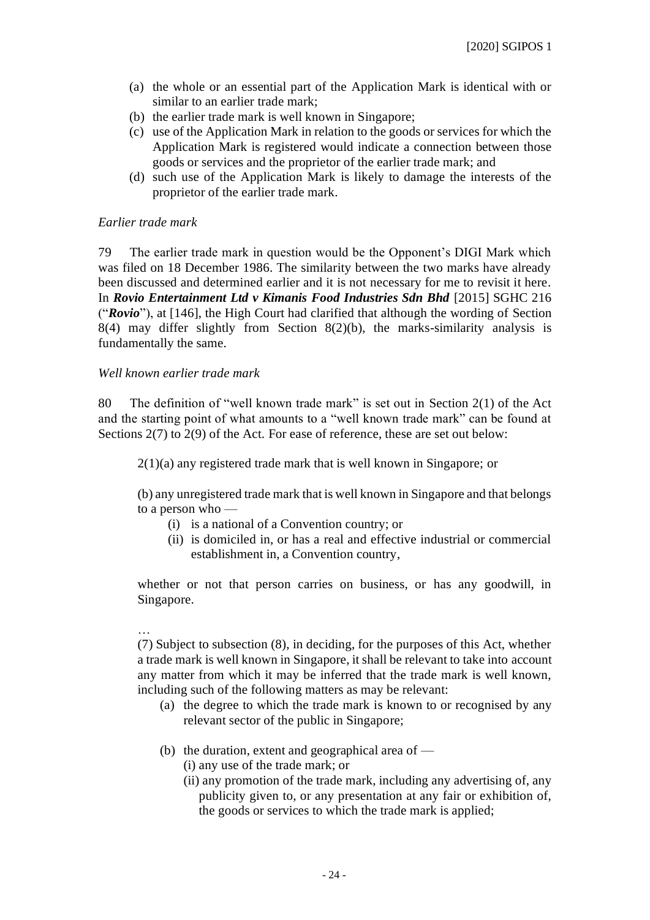- (a) the whole or an essential part of the Application Mark is identical with or similar to an earlier trade mark;
- (b) the earlier trade mark is well known in Singapore;
- (c) use of the Application Mark in relation to the goods or services for which the Application Mark is registered would indicate a connection between those goods or services and the proprietor of the earlier trade mark; and
- (d) such use of the Application Mark is likely to damage the interests of the proprietor of the earlier trade mark.

### *Earlier trade mark*

79 The earlier trade mark in question would be the Opponent's DIGI Mark which was filed on 18 December 1986. The similarity between the two marks have already been discussed and determined earlier and it is not necessary for me to revisit it here. In *Rovio Entertainment Ltd v Kimanis Food Industries Sdn Bhd* [2015] SGHC 216 ("*Rovio*"), at [146], the High Court had clarified that although the wording of Section 8(4) may differ slightly from Section 8(2)(b), the marks-similarity analysis is fundamentally the same.

### *Well known earlier trade mark*

80 The definition of "well known trade mark" is set out in Section 2(1) of the Act and the starting point of what amounts to a "well known trade mark" can be found at Sections 2(7) to 2(9) of the Act. For ease of reference, these are set out below:

2(1)(a) any registered trade mark that is well known in Singapore; or

(b) any unregistered trade mark that is well known in Singapore and that belongs to a person who —

- (i) is a national of a Convention country; or
- (ii) is domiciled in, or has a real and effective industrial or commercial establishment in, a Convention country,

whether or not that person carries on business, or has any goodwill, in Singapore.

## …

(7) Subject to subsection (8), in deciding, for the purposes of this Act, whether a trade mark is well known in Singapore, it shall be relevant to take into account any matter from which it may be inferred that the trade mark is well known, including such of the following matters as may be relevant:

- (a) the degree to which the trade mark is known to or recognised by any relevant sector of the public in Singapore;
- (b) the duration, extent and geographical area of
	- (i) any use of the trade mark; or
	- (ii) any promotion of the trade mark, including any advertising of, any publicity given to, or any presentation at any fair or exhibition of, the goods or services to which the trade mark is applied;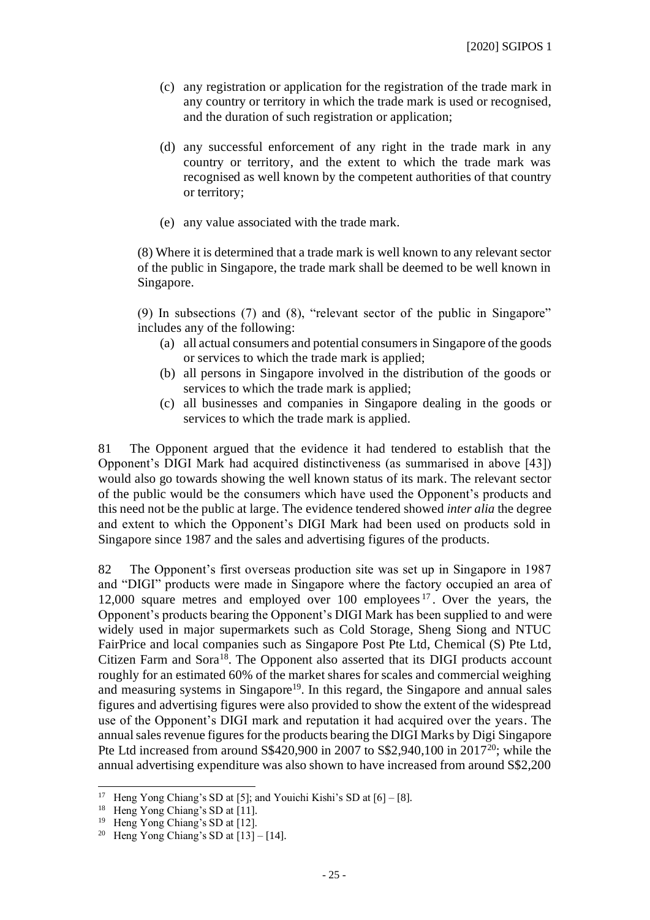- (c) any registration or application for the registration of the trade mark in any country or territory in which the trade mark is used or recognised, and the duration of such registration or application;
- (d) any successful enforcement of any right in the trade mark in any country or territory, and the extent to which the trade mark was recognised as well known by the competent authorities of that country or territory;
- (e) any value associated with the trade mark.

(8) Where it is determined that a trade mark is well known to any relevant sector of the public in Singapore, the trade mark shall be deemed to be well known in Singapore.

(9) In subsections (7) and (8), "relevant sector of the public in Singapore" includes any of the following:

- (a) all actual consumers and potential consumers in Singapore of the goods or services to which the trade mark is applied;
- (b) all persons in Singapore involved in the distribution of the goods or services to which the trade mark is applied;
- (c) all businesses and companies in Singapore dealing in the goods or services to which the trade mark is applied.

81 The Opponent argued that the evidence it had tendered to establish that the Opponent's DIGI Mark had acquired distinctiveness (as summarised in above [43]) would also go towards showing the well known status of its mark. The relevant sector of the public would be the consumers which have used the Opponent's products and this need not be the public at large. The evidence tendered showed *inter alia* the degree and extent to which the Opponent's DIGI Mark had been used on products sold in Singapore since 1987 and the sales and advertising figures of the products.

82 The Opponent's first overseas production site was set up in Singapore in 1987 and "DIGI" products were made in Singapore where the factory occupied an area of 12,000 square metres and employed over 100 employees <sup>17</sup> . Over the years, the Opponent's products bearing the Opponent's DIGI Mark has been supplied to and were widely used in major supermarkets such as Cold Storage, Sheng Siong and NTUC FairPrice and local companies such as Singapore Post Pte Ltd, Chemical (S) Pte Ltd, Citizen Farm and Sora<sup>18</sup>. The Opponent also asserted that its DIGI products account roughly for an estimated 60% of the market shares for scales and commercial weighing and measuring systems in Singapore<sup>19</sup>. In this regard, the Singapore and annual sales figures and advertising figures were also provided to show the extent of the widespread use of the Opponent's DIGI mark and reputation it had acquired over the years. The annual sales revenue figures for the products bearing the DIGI Marks by Digi Singapore Pte Ltd increased from around S\$420,900 in 2007 to S\$2,940,100 in 2017<sup>20</sup>; while the annual advertising expenditure was also shown to have increased from around S\$2,200

<sup>&</sup>lt;sup>17</sup> Heng Yong Chiang's SD at [5]; and Youichi Kishi's SD at [6] – [8].

<sup>&</sup>lt;sup>18</sup> Heng Yong Chiang's SD at [11].

<sup>19</sup> Heng Yong Chiang's SD at [12].

<sup>&</sup>lt;sup>20</sup> Heng Yong Chiang's SD at  $[13] - [14]$ .